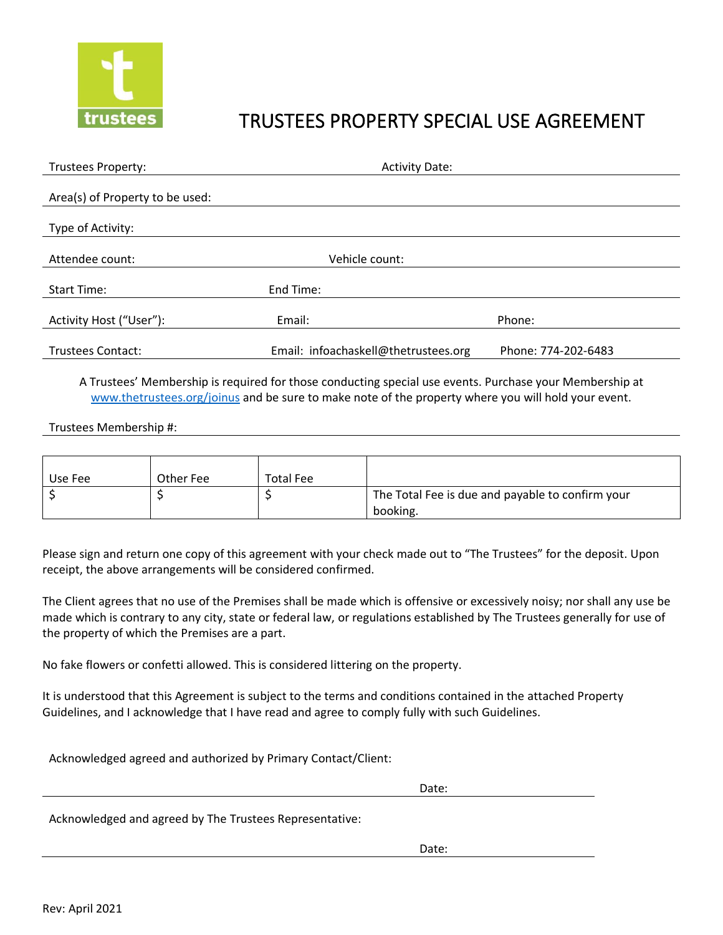

## TRUSTEES PROPERTY SPECIAL USE AGREEMENT

| Trustees Property:              | <b>Activity Date:</b>                |                     |  |
|---------------------------------|--------------------------------------|---------------------|--|
|                                 |                                      |                     |  |
| Area(s) of Property to be used: |                                      |                     |  |
| Type of Activity:               |                                      |                     |  |
|                                 |                                      |                     |  |
| Attendee count:                 | Vehicle count:                       |                     |  |
|                                 |                                      |                     |  |
| <b>Start Time:</b>              | End Time:                            |                     |  |
|                                 |                                      |                     |  |
| Activity Host ("User"):         | Email:                               | Phone:              |  |
|                                 |                                      |                     |  |
| Trustees Contact:               | Email: infoachaskell@thetrustees.org | Phone: 774-202-6483 |  |

A Trustees' Membership is required for those conducting special use events. Purchase your Membership at [www.thetrustees.org/joinus](http://www.thetrustees.org/joinus) and be sure to make note of the property where you will hold your event.

## Trustees Membership #:

| Use Fee | Other Fee | <b>Total Fee</b> |                                                              |
|---------|-----------|------------------|--------------------------------------------------------------|
|         |           |                  | The Total Fee is due and payable to confirm your<br>booking. |

Please sign and return one copy of this agreement with your check made out to "The Trustees" for the deposit. Upon receipt, the above arrangements will be considered confirmed.

The Client agrees that no use of the Premises shall be made which is offensive or excessively noisy; nor shall any use be made which is contrary to any city, state or federal law, or regulations established by The Trustees generally for use of the property of which the Premises are a part.

No fake flowers or confetti allowed. This is considered littering on the property.

It is understood that this Agreement is subject to the terms and conditions contained in the attached Property Guidelines, and I acknowledge that I have read and agree to comply fully with such Guidelines.

Acknowledged agreed and authorized by Primary Contact/Client:

design to the contract of the contract of the contract of the contract of the contract of the contract of the c

Acknowledged and agreed by The Trustees Representative:

discussion of the contract of the contract of the contract of the Date: